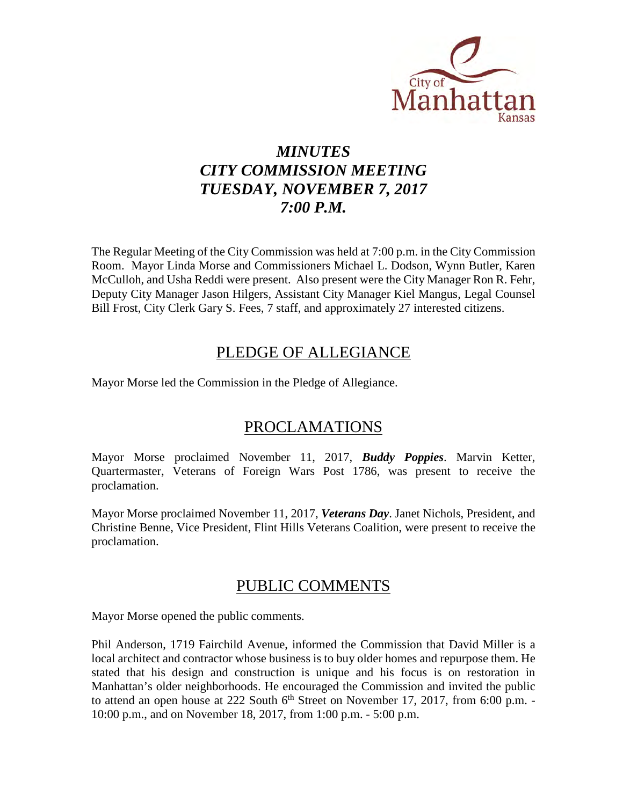

# *MINUTES CITY COMMISSION MEETING TUESDAY, NOVEMBER 7, 2017 7:00 P.M.*

The Regular Meeting of the City Commission was held at 7:00 p.m. in the City Commission Room. Mayor Linda Morse and Commissioners Michael L. Dodson, Wynn Butler, Karen McCulloh, and Usha Reddi were present. Also present were the City Manager Ron R. Fehr, Deputy City Manager Jason Hilgers, Assistant City Manager Kiel Mangus, Legal Counsel Bill Frost, City Clerk Gary S. Fees, 7 staff, and approximately 27 interested citizens.

## PLEDGE OF ALLEGIANCE

Mayor Morse led the Commission in the Pledge of Allegiance.

## PROCLAMATIONS

Mayor Morse proclaimed November 11, 2017, *Buddy Poppies*. Marvin Ketter, Quartermaster, Veterans of Foreign Wars Post 1786, was present to receive the proclamation.

Mayor Morse proclaimed November 11, 2017, *Veterans Day*. Janet Nichols, President, and Christine Benne, Vice President, Flint Hills Veterans Coalition, were present to receive the proclamation.

## PUBLIC COMMENTS

Mayor Morse opened the public comments.

Phil Anderson, 1719 Fairchild Avenue, informed the Commission that David Miller is a local architect and contractor whose business is to buy older homes and repurpose them. He stated that his design and construction is unique and his focus is on restoration in Manhattan's older neighborhoods. He encouraged the Commission and invited the public to attend an open house at 222 South  $6<sup>th</sup>$  Street on November 17, 2017, from 6:00 p.m. -10:00 p.m., and on November 18, 2017, from 1:00 p.m. - 5:00 p.m.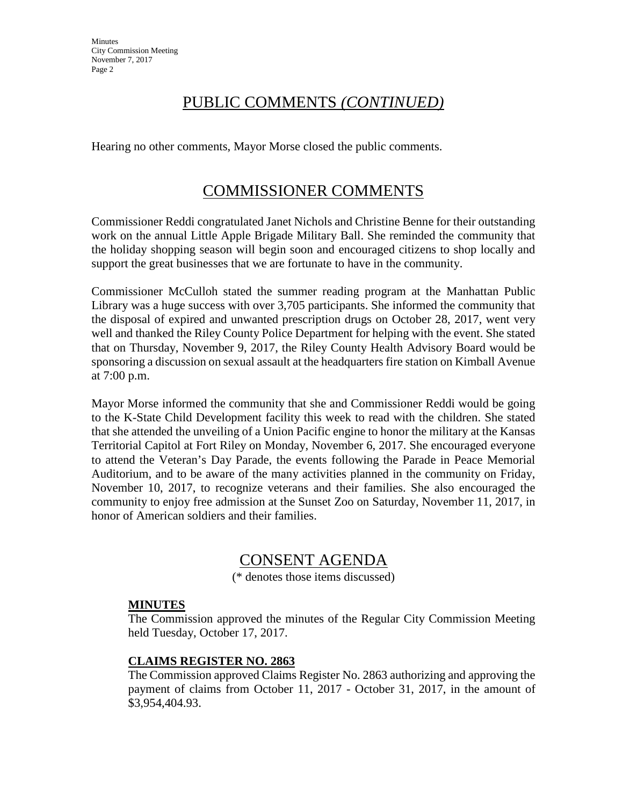**Minutes** City Commission Meeting November 7, 2017 Page 2

## PUBLIC COMMENTS *(CONTINUED)*

Hearing no other comments, Mayor Morse closed the public comments.

## COMMISSIONER COMMENTS

Commissioner Reddi congratulated Janet Nichols and Christine Benne for their outstanding work on the annual Little Apple Brigade Military Ball. She reminded the community that the holiday shopping season will begin soon and encouraged citizens to shop locally and support the great businesses that we are fortunate to have in the community.

Commissioner McCulloh stated the summer reading program at the Manhattan Public Library was a huge success with over 3,705 participants. She informed the community that the disposal of expired and unwanted prescription drugs on October 28, 2017, went very well and thanked the Riley County Police Department for helping with the event. She stated that on Thursday, November 9, 2017, the Riley County Health Advisory Board would be sponsoring a discussion on sexual assault at the headquarters fire station on Kimball Avenue at 7:00 p.m.

Mayor Morse informed the community that she and Commissioner Reddi would be going to the K-State Child Development facility this week to read with the children. She stated that she attended the unveiling of a Union Pacific engine to honor the military at the Kansas Territorial Capitol at Fort Riley on Monday, November 6, 2017. She encouraged everyone to attend the Veteran's Day Parade, the events following the Parade in Peace Memorial Auditorium, and to be aware of the many activities planned in the community on Friday, November 10, 2017, to recognize veterans and their families. She also encouraged the community to enjoy free admission at the Sunset Zoo on Saturday, November 11, 2017, in honor of American soldiers and their families.

## CONSENT AGENDA

(\* denotes those items discussed)

### **MINUTES**

The Commission approved the minutes of the Regular City Commission Meeting held Tuesday, October 17, 2017.

### **CLAIMS REGISTER NO. 2863**

The Commission approved Claims Register No. 2863 authorizing and approving the payment of claims from October 11, 2017 - October 31, 2017, in the amount of \$3,954,404.93.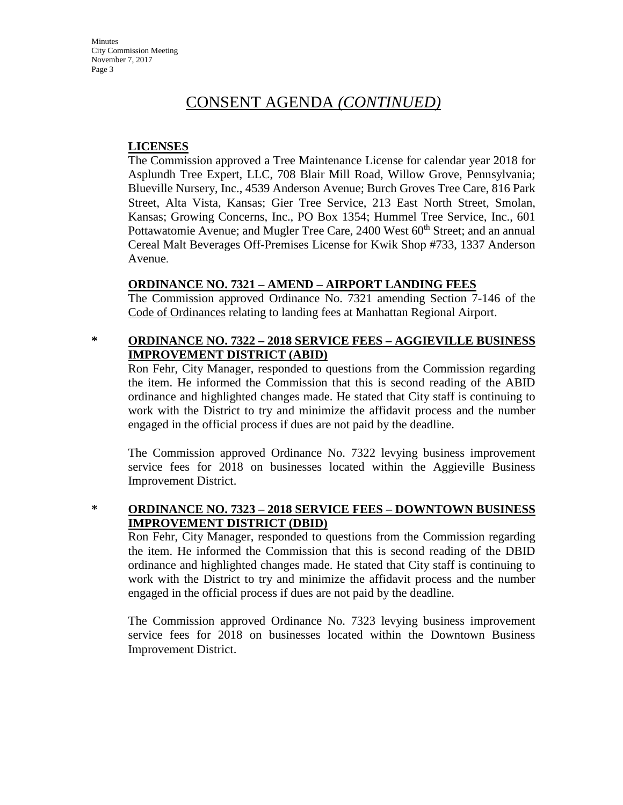**Minutes** City Commission Meeting November 7, 2017 Page 3

## CONSENT AGENDA *(CONTINUED)*

#### **LICENSES**

The Commission approved a Tree Maintenance License for calendar year 2018 for Asplundh Tree Expert, LLC, 708 Blair Mill Road, Willow Grove, Pennsylvania; Blueville Nursery, Inc., 4539 Anderson Avenue; Burch Groves Tree Care, 816 Park Street, Alta Vista, Kansas; Gier Tree Service, 213 East North Street, Smolan, Kansas; Growing Concerns, Inc., PO Box 1354; Hummel Tree Service, Inc., 601 Pottawatomie Avenue; and Mugler Tree Care, 2400 West 60<sup>th</sup> Street; and an annual Cereal Malt Beverages Off-Premises License for Kwik Shop #733, 1337 Anderson Avenue.

#### **ORDINANCE NO. 7321 – AMEND – AIRPORT LANDING FEES**

The Commission approved Ordinance No. 7321 amending Section 7-146 of the Code of Ordinances relating to landing fees at Manhattan Regional Airport.

### **\* ORDINANCE NO. 7322 – 2018 SERVICE FEES – AGGIEVILLE BUSINESS IMPROVEMENT DISTRICT (ABID)**

Ron Fehr, City Manager, responded to questions from the Commission regarding the item. He informed the Commission that this is second reading of the ABID ordinance and highlighted changes made. He stated that City staff is continuing to work with the District to try and minimize the affidavit process and the number engaged in the official process if dues are not paid by the deadline.

The Commission approved Ordinance No. 7322 levying business improvement service fees for 2018 on businesses located within the Aggieville Business Improvement District.

### **\* ORDINANCE NO. 7323 – 2018 SERVICE FEES – DOWNTOWN BUSINESS IMPROVEMENT DISTRICT (DBID)**

Ron Fehr, City Manager, responded to questions from the Commission regarding the item. He informed the Commission that this is second reading of the DBID ordinance and highlighted changes made. He stated that City staff is continuing to work with the District to try and minimize the affidavit process and the number engaged in the official process if dues are not paid by the deadline.

The Commission approved Ordinance No. 7323 levying business improvement service fees for 2018 on businesses located within the Downtown Business Improvement District.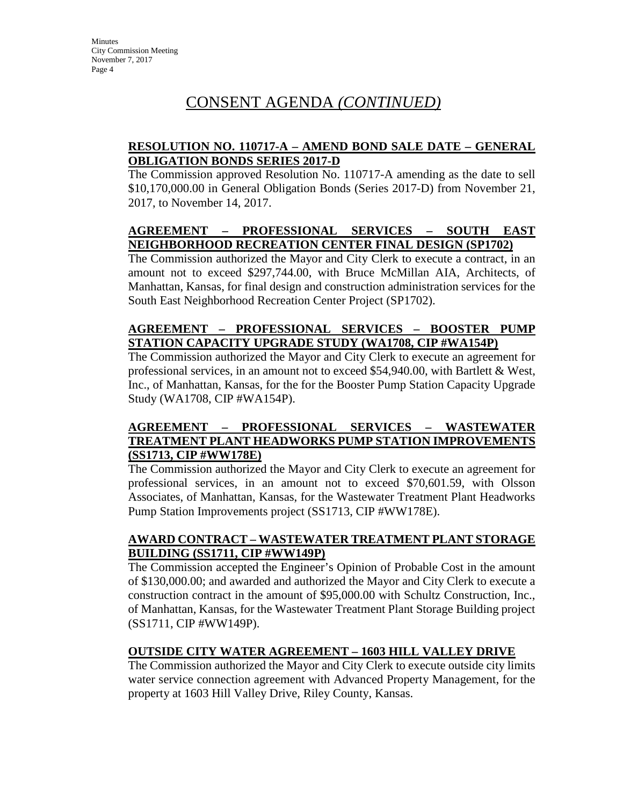## CONSENT AGENDA *(CONTINUED)*

### **RESOLUTION NO. 110717-A – AMEND BOND SALE DATE – GENERAL OBLIGATION BONDS SERIES 2017-D**

The Commission approved Resolution No. 110717-A amending as the date to sell \$10,170,000.00 in General Obligation Bonds (Series 2017-D) from November 21, 2017, to November 14, 2017.

### **AGREEMENT – PROFESSIONAL SERVICES – SOUTH EAST NEIGHBORHOOD RECREATION CENTER FINAL DESIGN (SP1702)**

The Commission authorized the Mayor and City Clerk to execute a contract, in an amount not to exceed \$297,744.00, with Bruce McMillan AIA, Architects, of Manhattan, Kansas, for final design and construction administration services for the South East Neighborhood Recreation Center Project (SP1702).

### **AGREEMENT – PROFESSIONAL SERVICES – BOOSTER PUMP STATION CAPACITY UPGRADE STUDY (WA1708, CIP #WA154P)**

The Commission authorized the Mayor and City Clerk to execute an agreement for professional services, in an amount not to exceed \$54,940.00, with Bartlett & West, Inc., of Manhattan, Kansas, for the for the Booster Pump Station Capacity Upgrade Study (WA1708, CIP #WA154P).

## **AGREEMENT – PROFESSIONAL SERVICES – WASTEWATER TREATMENT PLANT HEADWORKS PUMP STATION IMPROVEMENTS (SS1713, CIP #WW178E)**

The Commission authorized the Mayor and City Clerk to execute an agreement for professional services, in an amount not to exceed \$70,601.59, with Olsson Associates, of Manhattan, Kansas, for the Wastewater Treatment Plant Headworks Pump Station Improvements project (SS1713, CIP #WW178E).

## **AWARD CONTRACT – WASTEWATER TREATMENT PLANT STORAGE BUILDING (SS1711, CIP #WW149P)**

The Commission accepted the Engineer's Opinion of Probable Cost in the amount of \$130,000.00; and awarded and authorized the Mayor and City Clerk to execute a construction contract in the amount of \$95,000.00 with Schultz Construction, Inc., of Manhattan, Kansas, for the Wastewater Treatment Plant Storage Building project (SS1711, CIP #WW149P).

## **OUTSIDE CITY WATER AGREEMENT – 1603 HILL VALLEY DRIVE**

The Commission authorized the Mayor and City Clerk to execute outside city limits water service connection agreement with Advanced Property Management, for the property at 1603 Hill Valley Drive, Riley County, Kansas.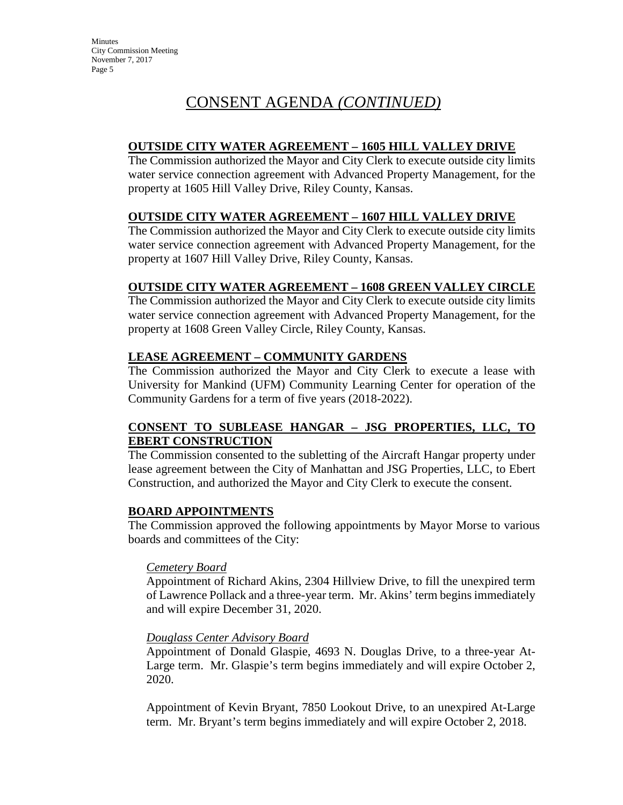# CONSENT AGENDA *(CONTINUED)*

### **OUTSIDE CITY WATER AGREEMENT – 1605 HILL VALLEY DRIVE**

The Commission authorized the Mayor and City Clerk to execute outside city limits water service connection agreement with Advanced Property Management, for the property at 1605 Hill Valley Drive, Riley County, Kansas.

### **OUTSIDE CITY WATER AGREEMENT – 1607 HILL VALLEY DRIVE**

The Commission authorized the Mayor and City Clerk to execute outside city limits water service connection agreement with Advanced Property Management, for the property at 1607 Hill Valley Drive, Riley County, Kansas.

## **OUTSIDE CITY WATER AGREEMENT – 1608 GREEN VALLEY CIRCLE**

The Commission authorized the Mayor and City Clerk to execute outside city limits water service connection agreement with Advanced Property Management, for the property at 1608 Green Valley Circle, Riley County, Kansas.

## **LEASE AGREEMENT – COMMUNITY GARDENS**

The Commission authorized the Mayor and City Clerk to execute a lease with University for Mankind (UFM) Community Learning Center for operation of the Community Gardens for a term of five years (2018-2022).

### **CONSENT TO SUBLEASE HANGAR – JSG PROPERTIES, LLC, TO EBERT CONSTRUCTION**

The Commission consented to the subletting of the Aircraft Hangar property under lease agreement between the City of Manhattan and JSG Properties, LLC, to Ebert Construction, and authorized the Mayor and City Clerk to execute the consent.

### **BOARD APPOINTMENTS**

The Commission approved the following appointments by Mayor Morse to various boards and committees of the City:

### *Cemetery Board*

Appointment of Richard Akins, 2304 Hillview Drive, to fill the unexpired term of Lawrence Pollack and a three-year term. Mr. Akins' term begins immediately and will expire December 31, 2020.

### *Douglass Center Advisory Board*

Appointment of Donald Glaspie, 4693 N. Douglas Drive, to a three-year At-Large term. Mr. Glaspie's term begins immediately and will expire October 2, 2020.

Appointment of Kevin Bryant, 7850 Lookout Drive, to an unexpired At-Large term. Mr. Bryant's term begins immediately and will expire October 2, 2018.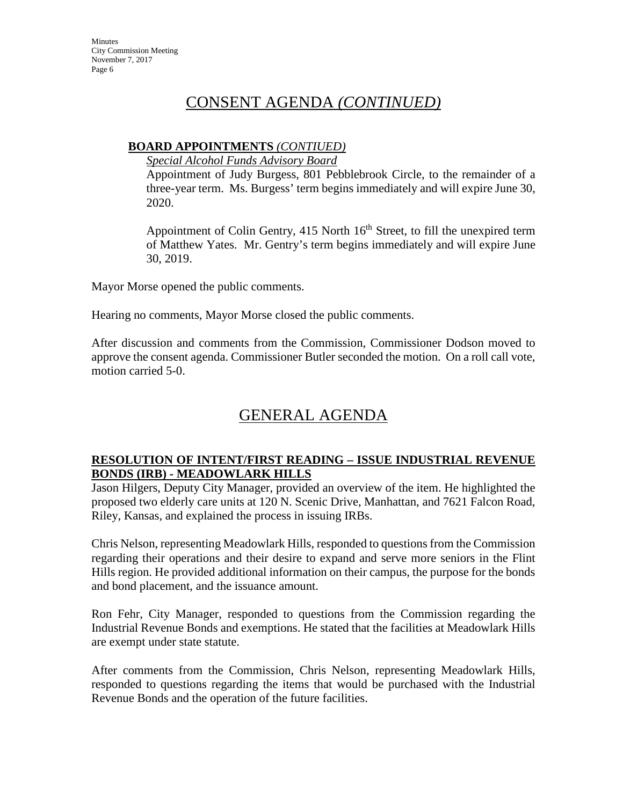## CONSENT AGENDA *(CONTINUED)*

## **BOARD APPOINTMENTS** *(CONTIUED)*

*Special Alcohol Funds Advisory Board* 

Appointment of Judy Burgess, 801 Pebblebrook Circle, to the remainder of a three-year term. Ms. Burgess' term begins immediately and will expire June 30, 2020.

Appointment of Colin Gentry,  $415$  North  $16<sup>th</sup>$  Street, to fill the unexpired term of Matthew Yates. Mr. Gentry's term begins immediately and will expire June 30, 2019.

Mayor Morse opened the public comments.

Hearing no comments, Mayor Morse closed the public comments.

After discussion and comments from the Commission, Commissioner Dodson moved to approve the consent agenda. Commissioner Butler seconded the motion. On a roll call vote, motion carried 5-0.

# GENERAL AGENDA

### **RESOLUTION OF INTENT/FIRST READING – ISSUE INDUSTRIAL REVENUE BONDS (IRB) - MEADOWLARK HILLS**

Jason Hilgers, Deputy City Manager, provided an overview of the item. He highlighted the proposed two elderly care units at 120 N. Scenic Drive, Manhattan, and 7621 Falcon Road, Riley, Kansas, and explained the process in issuing IRBs.

Chris Nelson, representing Meadowlark Hills, responded to questions from the Commission regarding their operations and their desire to expand and serve more seniors in the Flint Hills region. He provided additional information on their campus, the purpose for the bonds and bond placement, and the issuance amount.

Ron Fehr, City Manager, responded to questions from the Commission regarding the Industrial Revenue Bonds and exemptions. He stated that the facilities at Meadowlark Hills are exempt under state statute.

After comments from the Commission, Chris Nelson, representing Meadowlark Hills, responded to questions regarding the items that would be purchased with the Industrial Revenue Bonds and the operation of the future facilities.